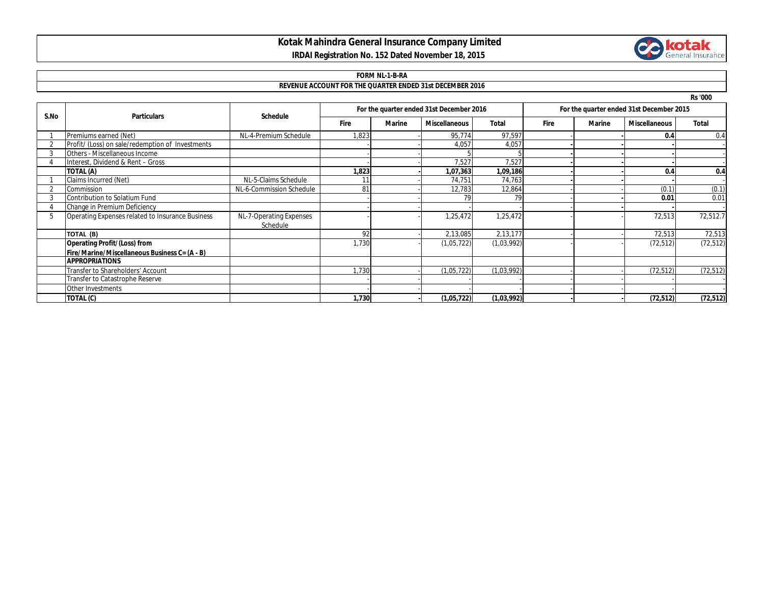## **Kotak Mahindra General Insurance Company Limited**



### **IRDAI Registration No. 152 Dated November 18, 2015**

### **FORM NL-1-B-RA**

#### **REVENUE ACCOUNT FOR THE QUARTER ENDED 31st DECEMBER 2016**

**Rs '000**

| S.No | <b>Particulars</b>                               | <b>Schedule</b>                     | For the quarter ended 31st December 2016 |        |                      |              | For the quarter ended 31st December 2015 |               |                      |              |
|------|--------------------------------------------------|-------------------------------------|------------------------------------------|--------|----------------------|--------------|------------------------------------------|---------------|----------------------|--------------|
|      |                                                  |                                     | <b>Fire</b>                              | Marine | <b>Miscellaneous</b> | <b>Total</b> | <b>Fire</b>                              | <b>Marine</b> | <b>Miscellaneous</b> | <b>Total</b> |
|      | Premiums earned (Net)                            | NL-4-Premium Schedule               | 1,823                                    |        | 95,774               | 97,597       |                                          |               | 0.4                  | 0.4          |
|      | Profit/ (Loss) on sale/redemption of Investments |                                     |                                          |        | 4,057                | 4,057        |                                          |               |                      |              |
|      | Others - Miscellaneous Income                    |                                     |                                          |        |                      |              |                                          |               |                      |              |
|      | Interest, Dividend & Rent - Gross                |                                     |                                          |        | 7,527                | 7,527        |                                          |               |                      |              |
|      | TOTAL (A)                                        |                                     | 1,823                                    |        | 1,07,363             | 1,09,186     |                                          |               | 0.4                  | 0.4          |
|      | Claims Incurred (Net)                            | NL-5-Claims Schedule                |                                          |        | 74,751               | 74,763       |                                          |               |                      |              |
|      | Commission                                       | NL-6-Commission Schedule            | 81                                       |        | 12,783               | 12,864       |                                          |               | (0.1)                | (0.1)        |
|      | Contribution to Solatium Fund                    |                                     |                                          |        | 79                   | 79           |                                          |               | 0.01                 | 0.01         |
|      | Change in Premium Deficiency                     |                                     |                                          |        |                      |              |                                          |               |                      |              |
|      | Operating Expenses related to Insurance Business | NL-7-Operating Expenses<br>Schedule |                                          |        | 1,25,472             | 1,25,472     |                                          |               | 72,513               | 72,512.7     |
|      | TOTAL (B)                                        |                                     | 92                                       |        | 2,13,085             | 2,13,177     |                                          |               | 72,513               | 72,513       |
|      | <b>Operating Profit/(Loss) from</b>              |                                     | 1,730                                    |        | (1,05,722)           | (1,03,992)   |                                          |               | (72, 512)            | (72, 512)    |
|      | Fire/Marine/Miscellaneous Business C= (A - B)    |                                     |                                          |        |                      |              |                                          |               |                      |              |
|      | <b>APPROPRIATIONS</b>                            |                                     |                                          |        |                      |              |                                          |               |                      |              |
|      | Transfer to Shareholders' Account                |                                     | 1,730                                    |        | (1,05,722)           | (1,03,992)   |                                          |               | (72, 512)            | (72, 512)    |
|      | Transfer to Catastrophe Reserve                  |                                     |                                          |        |                      |              |                                          |               |                      |              |
|      | Other Investments                                |                                     |                                          |        |                      |              |                                          |               |                      |              |
|      | TOTAL (C)                                        |                                     | 1,730                                    |        | (1,05,722)           | (1,03,992)   |                                          |               | (72, 512)            | (72, 512)    |